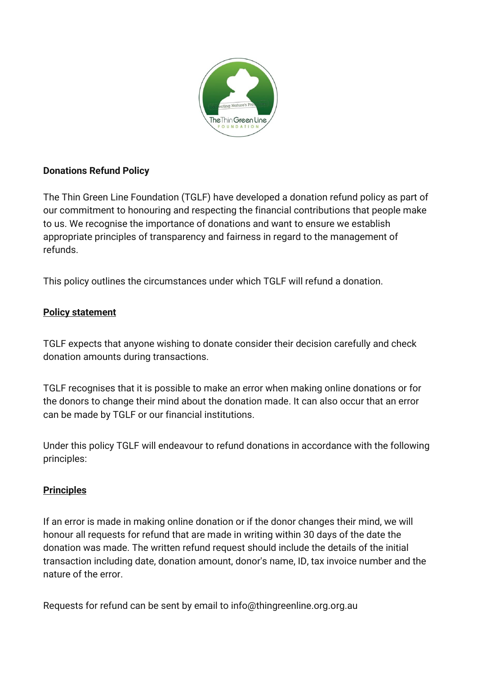

## **Donations Refund Policy**

The Thin Green Line Foundation (TGLF) have developed a donation refund policy as part of our commitment to honouring and respecting the financial contributions that people make to us. We recognise the importance of donations and want to ensure we establish appropriate principles of transparency and fairness in regard to the management of refunds.

This policy outlines the circumstances under which TGLF will refund a donation.

## **Policy statement**

TGLF expects that anyone wishing to donate consider their decision carefully and check donation amounts during transactions.

TGLF recognises that it is possible to make an error when making online donations or for the donors to change their mind about the donation made. It can also occur that an error can be made by TGLF or our financial institutions.

Under this policy TGLF will endeavour to refund donations in accordance with the following principles:

## **Principles**

If an error is made in making online donation or if the donor changes their mind, we will honour all requests for refund that are made in writing within 30 days of the date the donation was made. The written refund request should include the details of the initial transaction including date, donation amount, donor's name, ID, tax invoice number and the nature of the error.

Requests for refund can be sent by email to info@thingreenline.org.org.au